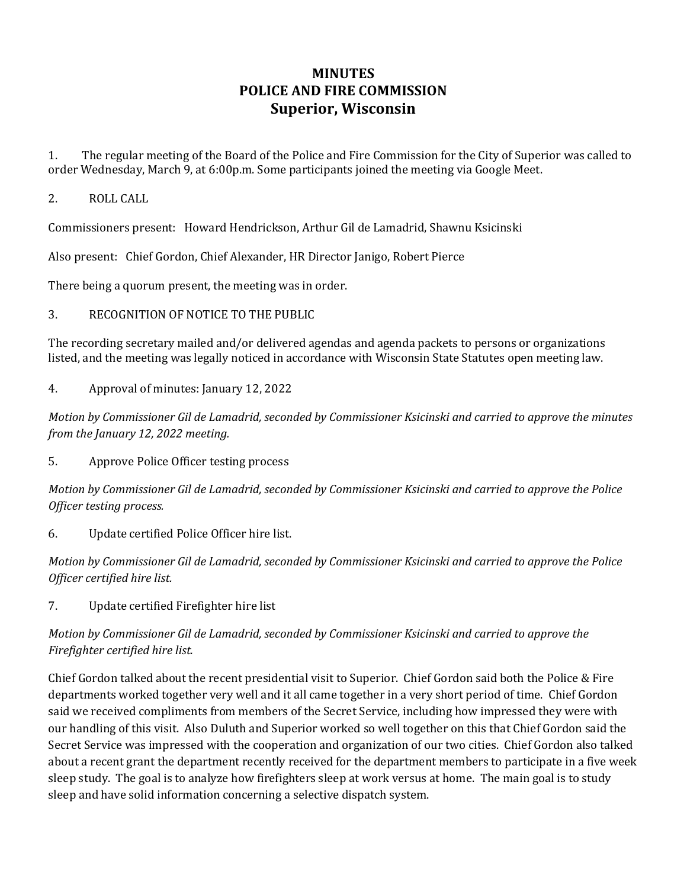## **MINUTES POLICE AND FIRE COMMISSION Superior, Wisconsin**

1. The regular meeting of the Board of the Police and Fire Commission for the City of Superior was called to order Wednesday, March 9, at 6:00p.m. Some participants joined the meeting via Google Meet.

2. ROLL CALL

Commissioners present: Howard Hendrickson, Arthur Gil de Lamadrid, Shawnu Ksicinski

Also present: Chief Gordon, Chief Alexander, HR Director Janigo, Robert Pierce

There being a quorum present, the meeting was in order.

3. RECOGNITION OF NOTICE TO THE PUBLIC

The recording secretary mailed and/or delivered agendas and agenda packets to persons or organizations listed, and the meeting was legally noticed in accordance with Wisconsin State Statutes open meeting law.

4. Approval of minutes: January 12, 2022

*Motion by Commissioner Gil de Lamadrid, seconded by Commissioner Ksicinski and carried to approve the minutes from the January 12, 2022 meeting.* 

5. Approve Police Officer testing process

*Motion by Commissioner Gil de Lamadrid, seconded by Commissioner Ksicinski and carried to approve the Police Officer testing process.*

6. Update certified Police Officer hire list.

*Motion by Commissioner Gil de Lamadrid, seconded by Commissioner Ksicinski and carried to approve the Police Officer certified hire list.*

7. Update certified Firefighter hire list

## *Motion by Commissioner Gil de Lamadrid, seconded by Commissioner Ksicinski and carried to approve the Firefighter certified hire list.*

Chief Gordon talked about the recent presidential visit to Superior. Chief Gordon said both the Police & Fire departments worked together very well and it all came together in a very short period of time. Chief Gordon said we received compliments from members of the Secret Service, including how impressed they were with our handling of this visit. Also Duluth and Superior worked so well together on this that Chief Gordon said the Secret Service was impressed with the cooperation and organization of our two cities. Chief Gordon also talked about a recent grant the department recently received for the department members to participate in a five week sleep study. The goal is to analyze how firefighters sleep at work versus at home. The main goal is to study sleep and have solid information concerning a selective dispatch system.